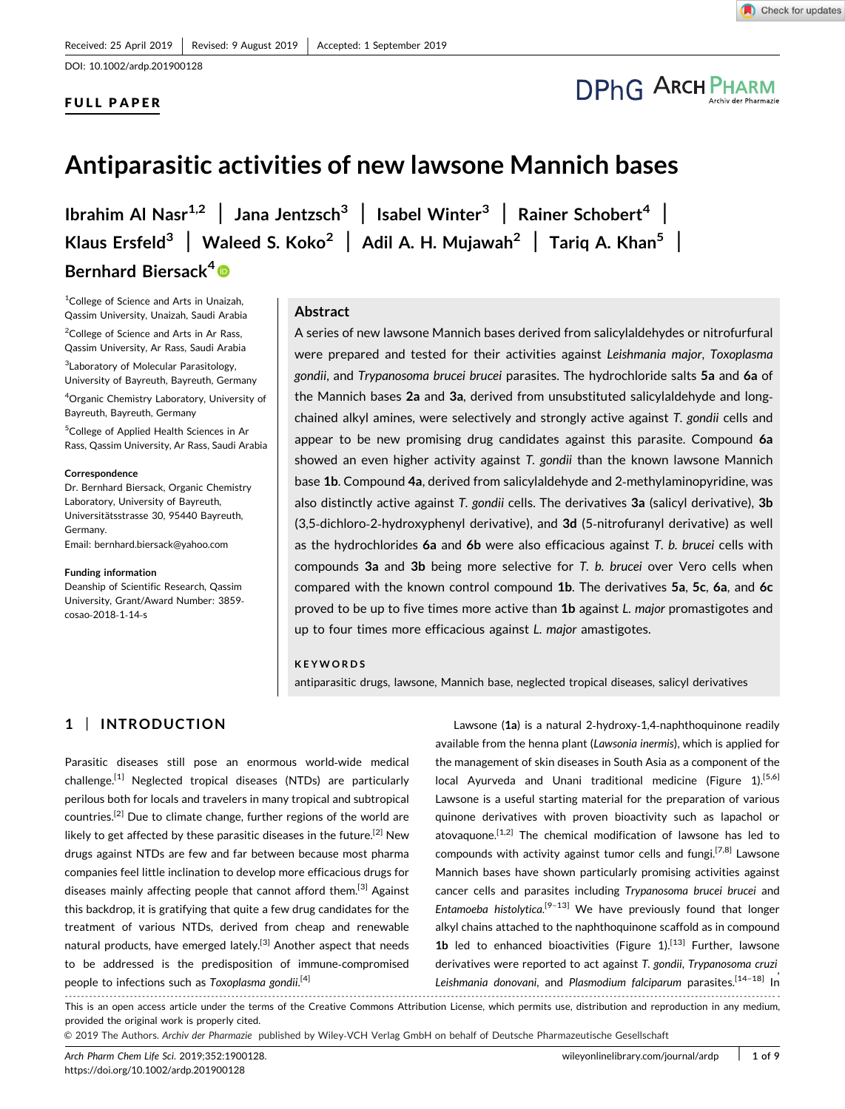DOI: 10.1002/ardp.201900128

## FULL PAPER

# **DPhG ARCH PHARM**

## Antiparasitic activities of new lawsone Mannich bases

Ibrahim Al Nasr<sup>1,2</sup> | Jana Jentzsch<sup>3</sup> | Isabel Winter<sup>3</sup> | Rainer Schobert<sup>4</sup> | Klaus Ersfeld<sup>3</sup> | Waleed S. Koko<sup>2</sup> | Adil A. H. Mujawah<sup>2</sup> | Tariq A. Khan<sup>5</sup> | Bernhard Biersack<sup>4</sup><sup>®</sup>

<sup>1</sup>College of Science and Arts in Unaizah, Qassim University, Unaizah, Saudi Arabia

<sup>2</sup>College of Science and Arts in Ar Rass, Qassim University, Ar Rass, Saudi Arabia

3 Laboratory of Molecular Parasitology, University of Bayreuth, Bayreuth, Germany

4 Organic Chemistry Laboratory, University of Bayreuth, Bayreuth, Germany

5 College of Applied Health Sciences in Ar Rass, Qassim University, Ar Rass, Saudi Arabia

#### **Correspondence**

Dr. Bernhard Biersack, Organic Chemistry Laboratory, University of Bayreuth, Universitätsstrasse 30, 95440 Bayreuth, Germany.

Email: bernhard.biersack@yahoo.com

#### Fundi[ng information](mailto:bernhard.biersack@yahoo.com)

Deanship of Scientific Research, Qassim University, Grant/Award Number: 3859‐ cosao‐2018‐1‐14‐s

#### Abstract

A series of new lawsone Mannich bases derived from salicylaldehydes or nitrofurfural were prepared and tested for their activities against Leishmania major, Toxoplasma gondii, and Trypanosoma brucei brucei parasites. The hydrochloride salts 5a and 6a of the Mannich bases 2a and 3a, derived from unsubstituted salicylaldehyde and longchained alkyl amines, were selectively and strongly active against T. gondii cells and appear to be new promising drug candidates against this parasite. Compound 6a showed an even higher activity against T. gondii than the known lawsone Mannich base 1b. Compound 4a, derived from salicylaldehyde and 2-methylaminopyridine, was also distinctly active against T. gondii cells. The derivatives 3a (salicyl derivative), 3b (3,5‐dichloro‐2‐hydroxyphenyl derivative), and 3d (5‐nitrofuranyl derivative) as well as the hydrochlorides  $6a$  and  $6b$  were also efficacious against  $T$ . b. brucei cells with compounds 3a and 3b being more selective for T. b. brucei over Vero cells when compared with the known control compound 1b. The derivatives 5a, 5c, 6a, and 6c proved to be up to five times more active than 1b against L. major promastigotes and up to four times more efficacious against L. major amastigotes.

#### KEYWORDS

antiparasitic drugs, lawsone, Mannich base, neglected tropical diseases, salicyl derivatives

## 1 | INTRODUCTION

Parasitic diseases still pose an enormous world‐wide medical  $challenge.$ <sup>[1]</sup> Neglected tropical diseases (NTDs) are particularly perilous both for locals and travelers in many tropical and subtropical countries.[2] Due to climate change, further regions of the world are likely to get affected by these parasitic diseases in the future.<sup>[2]</sup> New drugs against NTDs are few and far between because most pharma companies feel little inclination to develop more efficacious drugs for diseases mainly affecting people that cannot afford them.<sup>[3]</sup> Against this backdrop, it is gratifying that quite a few drug candidates for the treatment of various NTDs, derived from cheap and renewable natural products, have emerged lately.<sup>[3]</sup> Another aspect that needs to be addressed is the predisposition of immune‐compromised people to infections such as Toxoplasma gondii.<sup>[4]</sup>

Lawsone (1a) is a natural 2‐hydroxy‐1,4‐naphthoquinone readily available from the henna plant (Lawsonia inermis), which is applied for the management of skin diseases in South Asia as a component of the local Ayurveda and Unani traditional medicine (Figure 1).<sup>[5,6]</sup> Lawsone is a useful starting material for the preparation of various quinone derivatives with proven bioactivity such as lapachol or atovaquone.[1,2] The chemical modification of lawsone has led to compounds with activity against tumor cells and fungi.[7,8] Lawsone Mannich bases have shown particularly promising activities against cancer cells and parasites including Trypanosoma brucei brucei and Entamoeba histolytica.<sup>[9-13]</sup> We have previously found that longer alkyl chains attached to the naphthoquinone scaffold as in compound **1b** led to enhanced bioactivities (Figure  $1$ ).<sup>[13]</sup> Further, lawsone derivatives were reported to act against T. gondii, Trypanosoma cruzi, Leishmania donovani, and Plasmodium falciparum parasites.<sup>[14-18]</sup> In

------------------------------------------------------------------------------------------------------------------------------------------------------------------------------- - This is an open access article under the terms of the Creative Commons Attribution License, which permits use, distribution and reproduction in any medium, provided the original work is properly cited.

© 2019 The Authors. Archiv der Pharmazie published by Wiley‐VCH Verlag GmbH on behalf of Deutsche Pharmazeutische Gesellschaft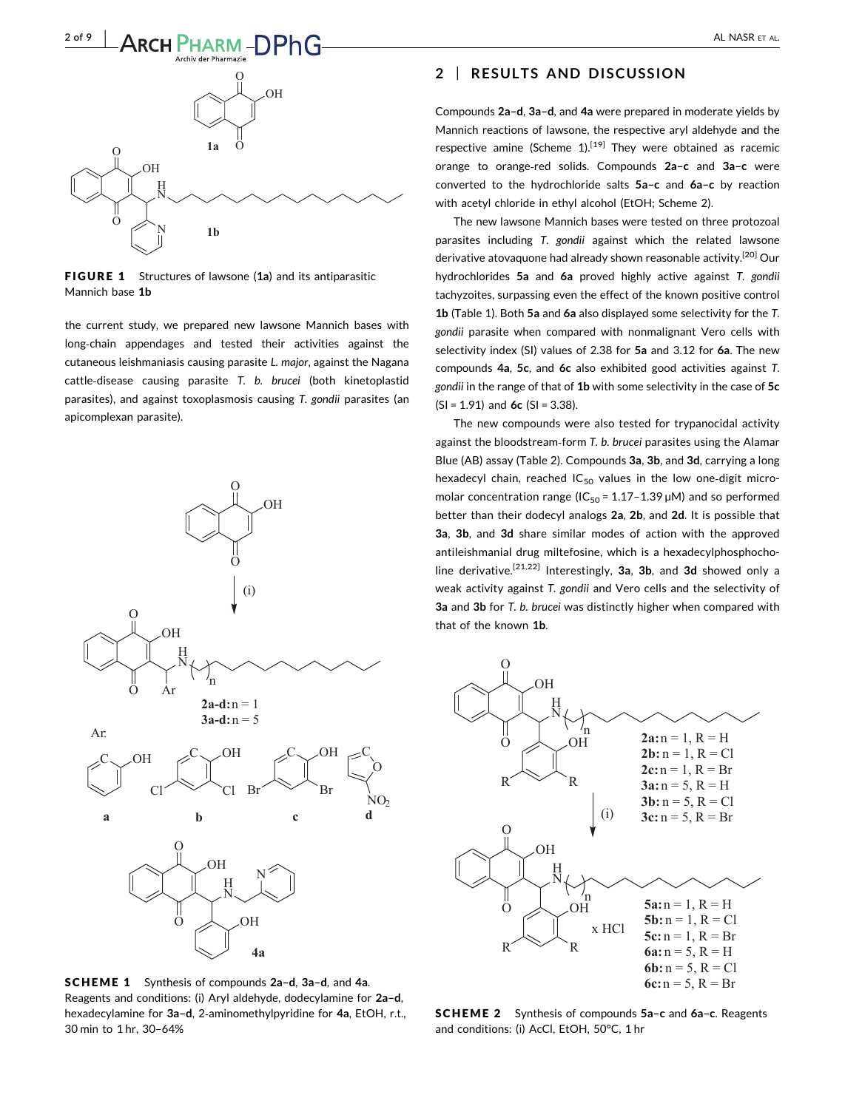

FIGURE 1 Structures of lawsone (1a) and its antiparasitic Mannich base 1b

the current study, we prepared new lawsone Mannich bases with long‐chain appendages and tested their activities against the cutaneous leishmaniasis causing parasite L. major, against the Nagana cattle‐disease causing parasite T. b. brucei (both kinetoplastid parasites), and against toxoplasmosis causing T. gondii parasites (an apicomplexan parasite).



SCHEME 1 Synthesis of compounds 2a–d, 3a–d, and 4a. Reagents and conditions: (i) Aryl aldehyde, dodecylamine for 2a–d, hexadecylamine for 3a-d, 2-aminomethylpyridine for 4a, EtOH, r.t., 30 min to 1 hr, 30–64%

### 2 | RESULTS AND DISCUSSION

Compounds 2a–d, 3a–d, and 4a were prepared in moderate yields by Mannich reactions of lawsone, the respective aryl aldehyde and the respective amine (Scheme  $1$ ).<sup>[19]</sup> They were obtained as racemic orange to orange‐red solids. Compounds 2a–c and 3a–c were converted to the hydrochloride salts 5a–c and 6a–c by reaction with acetyl chloride in ethyl alcohol (EtOH; Scheme 2).

The new lawsone Mannich bases were tested on three protozoal parasites including T. gondii against which the related lawsone derivative atovaquone had already shown reasonable activity.<sup>[20]</sup> Our hydrochlorides 5a and 6a proved highly active against T. gondii tachyzoites, surpassing even the effect of the known positive control 1b (Table 1). Both 5a and 6a also displayed some selectivity for the T. gondii parasite when compared with nonmalignant Vero cells with selectivity index (SI) values of 2.38 for 5a and 3.12 for 6a. The new compounds 4a, 5c, and 6c also exhibited good activities against T. gondii in the range of that of 1b with some selectivity in the case of 5c  $(SI = 1.91)$  and 6c  $(SI = 3.38)$ .

The new compounds were also tested for trypanocidal activity against the bloodstream‐form T. b. brucei parasites using the Alamar Blue (AB) assay (Table 2). Compounds 3a, 3b, and 3d, carrying a long hexadecyl chain, reached  $IC_{50}$  values in the low one-digit micromolar concentration range ( $IC_{50}$  = 1.17-1.39  $\mu$ M) and so performed better than their dodecyl analogs 2a, 2b, and 2d. It is possible that 3a, 3b, and 3d share similar modes of action with the approved antileishmanial drug miltefosine, which is a hexadecylphosphocholine derivative.[21,22] Interestingly, 3a, 3b, and 3d showed only a weak activity against T. gondii and Vero cells and the selectivity of 3a and 3b for T, b. brucei was distinctly higher when compared with that of the known 1b.



SCHEME 2 Synthesis of compounds 5a–c and 6a–c. Reagents and conditions: (i) AcCl, EtOH, 50°C, 1 hr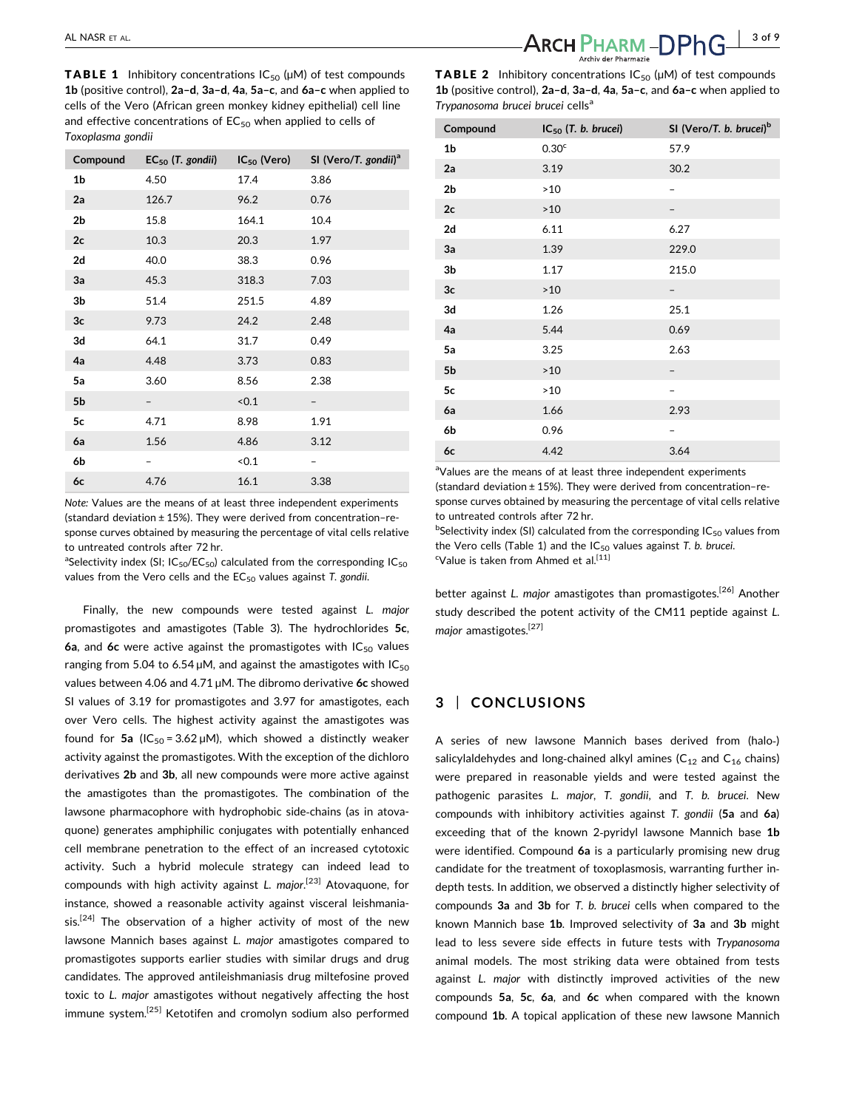**TABLE 1** Inhibitory concentrations  $IC_{50}$  ( $µM$ ) of test compounds 1b (positive control), 2a–d, 3a–d, 4a, 5a–c, and 6a–c when applied to cells of the Vero (African green monkey kidney epithelial) cell line and effective concentrations of  $EC_{50}$  when applied to cells of Toxoplasma gondii

| Compound       | $EC_{50}$ (T. gondii) | $IC_{50}$ (Vero) | SI (Vero/T. gondii) <sup>a</sup> |
|----------------|-----------------------|------------------|----------------------------------|
| 1b             | 4.50                  | 17.4             | 3.86                             |
| 2a             | 126.7                 | 96.2             | 0.76                             |
| 2 <sub>b</sub> | 15.8                  | 164.1            | 10.4                             |
| 2c             | 10.3                  | 20.3             | 1.97                             |
| 2d             | 40.0                  | 38.3             | 0.96                             |
| 3a             | 45.3                  | 318.3            | 7.03                             |
| 3b             | 51.4                  | 251.5            | 4.89                             |
| 3c             | 9.73                  | 24.2             | 2.48                             |
| 3d             | 64.1                  | 31.7             | 0.49                             |
| 4a             | 4.48                  | 3.73             | 0.83                             |
| 5a             | 3.60                  | 8.56             | 2.38                             |
| 5b             |                       | < 0.1            |                                  |
| 5c             | 4.71                  | 8.98             | 1.91                             |
| 6a             | 1.56                  | 4.86             | 3.12                             |
| 6b             |                       | < 0.1            |                                  |
| 6c             | 4.76                  | 16.1             | 3.38                             |

Note: Values are the means of at least three independent experiments (standard deviation ± 15%). They were derived from concentration–response curves obtained by measuring the percentage of vital cells relative to untreated controls after 72 hr.

<sup>a</sup>Selectivity index (SI; IC<sub>50</sub>/EC<sub>50</sub>) calculated from the corresponding IC<sub>50</sub> values from the Vero cells and the  $EC_{50}$  values against T. gondii.

Finally, the new compounds were tested against L. major promastigotes and amastigotes (Table 3). The hydrochlorides 5c, 6a, and 6c were active against the promastigotes with  $IC_{50}$  values ranging from 5.04 to 6.54  $\mu$ M, and against the amastigotes with IC<sub>50</sub> values between 4.06 and 4.71  $\mu$ M. The dibromo derivative 6c showed SI values of 3.19 for promastigotes and 3.97 for amastigotes, each over Vero cells. The highest activity against the amastigotes was found for 5a (IC<sub>50</sub> = 3.62  $\mu$ M), which showed a distinctly weaker activity against the promastigotes. With the exception of the dichloro derivatives 2b and 3b, all new compounds were more active against the amastigotes than the promastigotes. The combination of the lawsone pharmacophore with hydrophobic side‐chains (as in atovaquone) generates amphiphilic conjugates with potentially enhanced cell membrane penetration to the effect of an increased cytotoxic activity. Such a hybrid molecule strategy can indeed lead to compounds with high activity against L. major.<sup>[23]</sup> Atovaquone, for instance, showed a reasonable activity against visceral leishmania $sis.$ <sup>[24]</sup> The observation of a higher activity of most of the new lawsone Mannich bases against L. major amastigotes compared to promastigotes supports earlier studies with similar drugs and drug candidates. The approved antileishmaniasis drug miltefosine proved toxic to L. major amastigotes without negatively affecting the host immune system.<sup>[25]</sup> Ketotifen and cromolyn sodium also performed

**TABLE 2** Inhibitory concentrations  $IC_{50}$  ( $µM$ ) of test compounds 1b (positive control), 2a–d, 3a–d, 4a, 5a–c, and 6a–c when applied to Trypanosoma brucei brucei cells<sup>a</sup>

| Compound       | $IC_{50}$ (T. b. brucei) | SI (Vero/T. b. brucei) <sup>b</sup> |
|----------------|--------------------------|-------------------------------------|
| 1b             | 0.30 <sup>c</sup>        | 57.9                                |
| 2a             | 3.19                     | 30.2                                |
| 2 <sub>b</sub> | $>10$                    |                                     |
| 2c             | >10                      |                                     |
| 2d             | 6.11                     | 6.27                                |
| 3a             | 1.39                     | 229.0                               |
| 3b             | 1.17                     | 215.0                               |
| 3c             | $>10$                    |                                     |
| 3d             | 1.26                     | 25.1                                |
| 4a             | 5.44                     | 0.69                                |
| 5a             | 3.25                     | 2.63                                |
| 5 <sub>b</sub> | $>10$                    |                                     |
| 5c             | >10                      |                                     |
| 6a             | 1.66                     | 2.93                                |
| 6b             | 0.96                     |                                     |
| 6c             | 4.42                     | 3.64                                |

<sup>a</sup>Values are the means of at least three independent experiments (standard deviation ± 15%). They were derived from concentration–response curves obtained by measuring the percentage of vital cells relative to untreated controls after 72 hr.

 $b$ Selectivity index (SI) calculated from the corresponding IC<sub>50</sub> values from the Vero cells (Table 1) and the  $IC_{50}$  values against T. b. brucei. <sup>c</sup>Value is taken from Ahmed et al.<sup>[11]</sup>

better against L. major amastigotes than promastigotes.<sup>[26]</sup> Another study described the potent activity of the CM11 peptide against L. major amastigotes.<sup>[27]</sup>

## 3 | CONCLUSIONS

A series of new lawsone Mannich bases derived from (halo‐) salicylaldehydes and long-chained alkyl amines ( $C_{12}$  and  $C_{16}$  chains) were prepared in reasonable yields and were tested against the pathogenic parasites L. major, T. gondii, and T. b. brucei. New compounds with inhibitory activities against T. gondii (5a and 6a) exceeding that of the known 2-pyridyl lawsone Mannich base 1b were identified. Compound 6a is a particularly promising new drug candidate for the treatment of toxoplasmosis, warranting further in‐ depth tests. In addition, we observed a distinctly higher selectivity of compounds 3a and 3b for T. b. brucei cells when compared to the known Mannich base 1b. Improved selectivity of 3a and 3b might lead to less severe side effects in future tests with Trypanosoma animal models. The most striking data were obtained from tests against L. major with distinctly improved activities of the new compounds 5a, 5c, 6a, and 6c when compared with the known compound 1b. A topical application of these new lawsone Mannich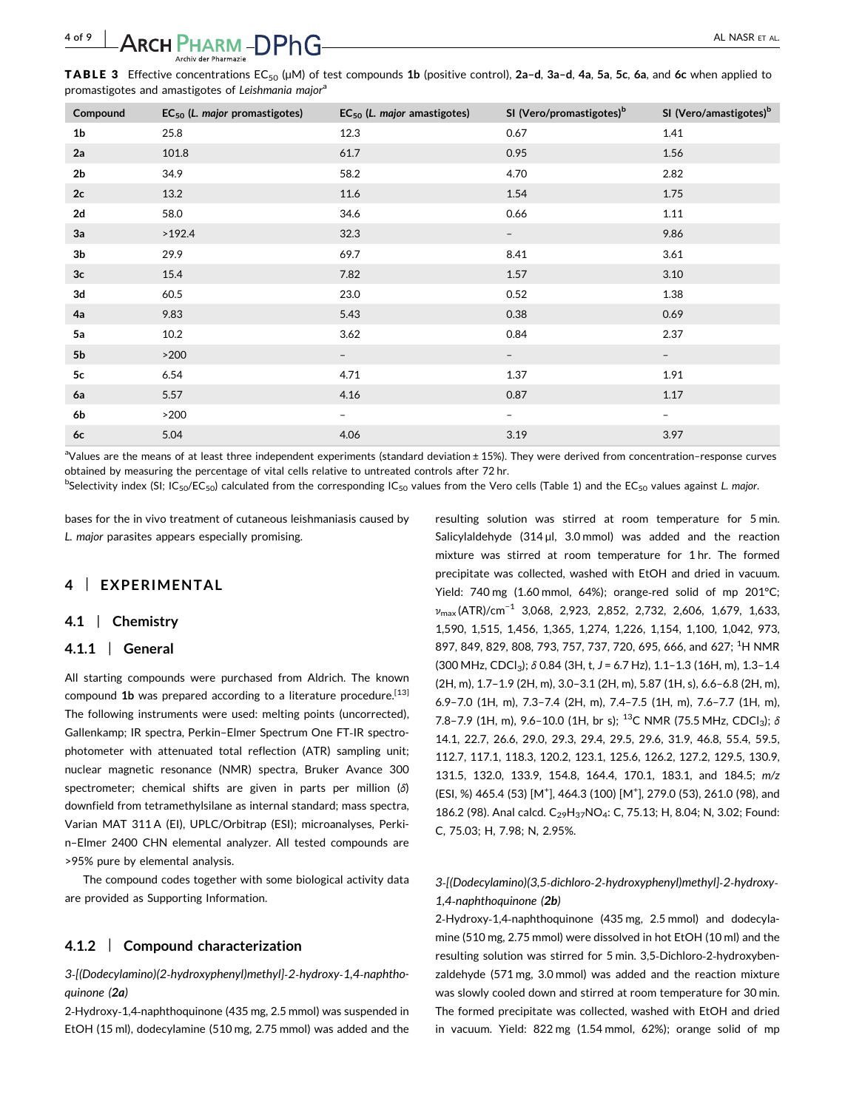## 4 of 9 | AL NASR ET AL.

**TABLE 3** Effective concentrations EC<sub>50</sub> ( $\mu$ M) of test compounds 1b (positive control), 2a-d, 3a-d, 4a, 5a, 5c, 6a, and 6c when applied to promastigotes and amastigotes of Leishmania major<sup>a</sup>

| Compound       | $EC_{50}$ (L. major promastigotes) | $EC_{50}$ (L. major amastigotes) | SI (Vero/promastigotes) <sup>b</sup> | SI (Vero/amastigotes) <sup>b</sup> |
|----------------|------------------------------------|----------------------------------|--------------------------------------|------------------------------------|
| 1 <sub>b</sub> | 25.8                               | 12.3                             | 0.67                                 | 1.41                               |
| 2a             | 101.8                              | 61.7                             | 0.95                                 | 1.56                               |
| 2 <sub>b</sub> | 34.9                               | 58.2                             | 4.70                                 | 2.82                               |
| 2c             | 13.2                               | 11.6                             | 1.54                                 | 1.75                               |
| 2d             | 58.0                               | 34.6                             | 0.66                                 | 1.11                               |
| 3a             | >192.4                             | 32.3                             | $\overline{\phantom{a}}$             | 9.86                               |
| 3 <sub>b</sub> | 29.9                               | 69.7                             | 8.41                                 | 3.61                               |
| 3c             | 15.4                               | 7.82                             | 1.57                                 | 3.10                               |
| 3d             | 60.5                               | 23.0                             | 0.52                                 | 1.38                               |
| 4a             | 9.83                               | 5.43                             | 0.38                                 | 0.69                               |
| 5a             | 10.2                               | 3.62                             | 0.84                                 | 2.37                               |
| 5 <sub>b</sub> | $>200$                             | $\overline{\phantom{a}}$         | $\overline{\phantom{a}}$             | $-$                                |
| 5c             | 6.54                               | 4.71                             | 1.37                                 | 1.91                               |
| 6a             | 5.57                               | 4.16                             | 0.87                                 | 1.17                               |
| 6b             | $>200$                             | $\overline{\phantom{0}}$         | $\overline{\phantom{a}}$             | -                                  |
| 6c             | 5.04                               | 4.06                             | 3.19                                 | 3.97                               |

aValues are the means of at least three independent experiments (standard deviation ± 15%). They were derived from concentration-response curves obtained by measuring the percentage of vital cells relative to untreated controls after 72 hr.

 $^{\rm b}$ Selectivity index (SI; IC<sub>50</sub>/EC<sub>50</sub>) calculated from the corresponding IC<sub>50</sub> values from the Vero cells (Table 1) and the EC<sub>50</sub> values against L. *major*.

bases for the in vivo treatment of cutaneous leishmaniasis caused by L. major parasites appears especially promising.

## 4 | EXPERIMENTAL

#### 4.1 | Chemistry

#### 4.1.1 | General

All starting compounds were purchased from Aldrich. The known compound  $1b$  was prepared according to a literature procedure.<sup>[13]</sup> The following instruments were used: melting points (uncorrected), Gallenkamp; IR spectra, Perkin–Elmer Spectrum One FT‐IR spectrophotometer with attenuated total reflection (ATR) sampling unit; nuclear magnetic resonance (NMR) spectra, Bruker Avance 300 spectrometer; chemical shifts are given in parts per million (δ) downfield from tetramethylsilane as internal standard; mass spectra, Varian MAT 311 A (EI), UPLC/Orbitrap (ESI); microanalyses, Perkin–Elmer 2400 CHN elemental analyzer. All tested compounds are >95% pure by elemental analysis.

The compound codes together with some biological activity data are provided as Supporting Information.

#### 4.1.2 | Compound characterization

3‐[(Dodecylamino)(2‐hydroxyphenyl)methyl]‐2‐hydroxy‐1,4‐naphthoquinone (2a)

2‐Hydroxy‐1,4‐naphthoquinone (435 mg, 2.5 mmol) was suspended in EtOH (15 ml), dodecylamine (510 mg, 2.75 mmol) was added and the

resulting solution was stirred at room temperature for 5 min. Salicylaldehyde (314 µl, 3.0 mmol) was added and the reaction mixture was stirred at room temperature for 1 hr. The formed precipitate was collected, washed with EtOH and dried in vacuum. Yield: 740 mg (1.60 mmol, 64%); orange-red solid of mp 201°C; νmax (ATR)/cm−<sup>1</sup> 3,068, 2,923, 2,852, 2,732, 2,606, 1,679, 1,633, 1,590, 1,515, 1,456, 1,365, 1,274, 1,226, 1,154, 1,100, 1,042, 973, 897, 849, 829, 808, 793, 757, 737, 720, 695, 666, and 627; <sup>1</sup>H NMR  $(300 \text{ MHz}, \text{CDCl}_3)$ ;  $\delta$  0.84 (3H, t, J = 6.7 Hz), 1.1-1.3 (16H, m), 1.3-1.4 (2H, m), 1.7–1.9 (2H, m), 3.0–3.1 (2H, m), 5.87 (1H, s), 6.6–6.8 (2H, m), 6.9–7.0 (1H, m), 7.3–7.4 (2H, m), 7.4–7.5 (1H, m), 7.6–7.7 (1H, m), 7.8–7.9 (1H, m), 9.6–10.0 (1H, br s); <sup>13</sup>C NMR (75.5 MHz, CDCl<sub>3</sub>); δ 14.1, 22.7, 26.6, 29.0, 29.3, 29.4, 29.5, 29.6, 31.9, 46.8, 55.4, 59.5, 112.7, 117.1, 118.3, 120.2, 123.1, 125.6, 126.2, 127.2, 129.5, 130.9, 131.5, 132.0, 133.9, 154.8, 164.4, 170.1, 183.1, and 184.5; m/z (ESI, %) 465.4 (53) [M<sup>+</sup>], 464.3 (100) [M<sup>+</sup>], 279.0 (53), 261.0 (98), and 186.2 (98). Anal calcd. C<sub>29</sub>H<sub>37</sub>NO<sub>4</sub>: C, 75.13; H, 8.04; N, 3.02; Found: C, 75.03; H, 7.98; N, 2.95%.

## 3‐[(Dodecylamino)(3,5‐dichloro‐2‐hydroxyphenyl)methyl]‐2‐hydroxy‐ 1,4‐naphthoquinone (2b)

2‐Hydroxy‐1,4‐naphthoquinone (435 mg, 2.5 mmol) and dodecylamine (510 mg, 2.75 mmol) were dissolved in hot EtOH (10 ml) and the resulting solution was stirred for 5 min. 3,5‐Dichloro‐2‐hydroxybenzaldehyde (571 mg, 3.0 mmol) was added and the reaction mixture was slowly cooled down and stirred at room temperature for 30 min. The formed precipitate was collected, washed with EtOH and dried in vacuum. Yield: 822 mg (1.54 mmol, 62%); orange solid of mp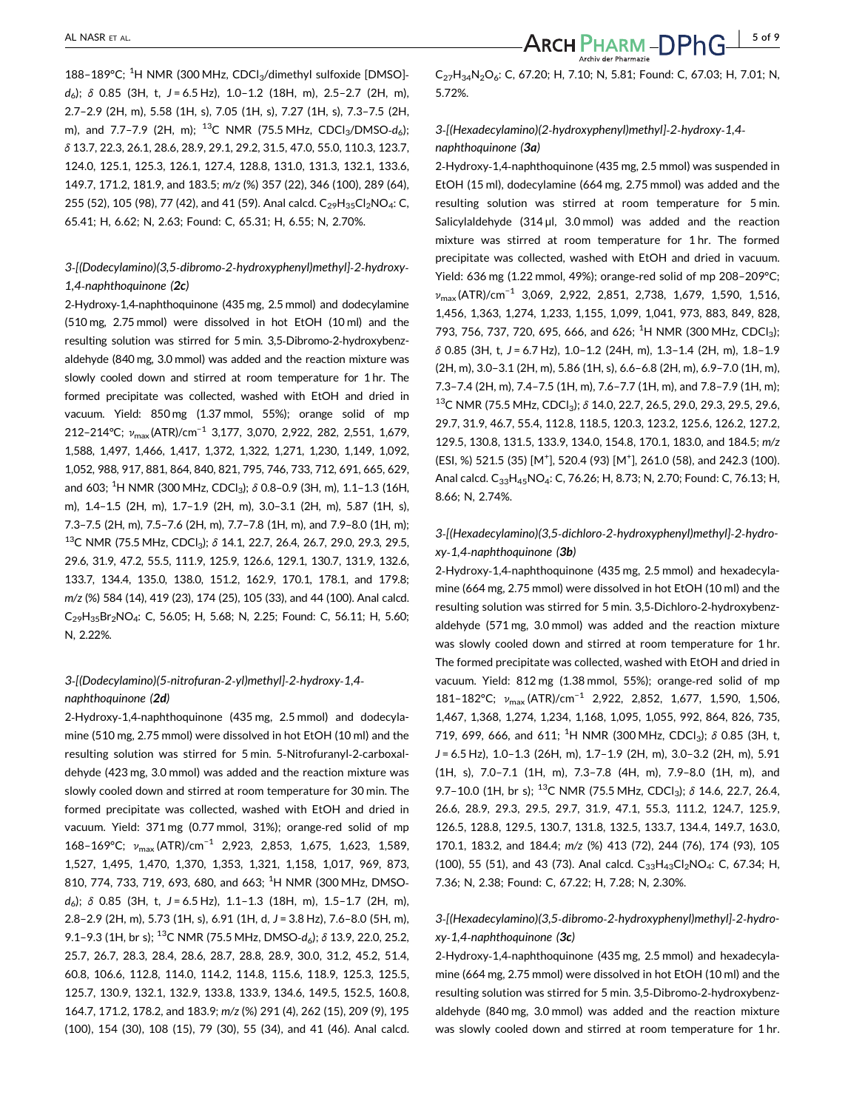188-189°C; <sup>1</sup>H NMR (300 MHz, CDCl<sub>3</sub>/dimethyl sulfoxide [DMSO] $d_6$ ;  $\delta$  0.85 (3H, t, J = 6.5 Hz), 1.0-1.2 (18H, m), 2.5-2.7 (2H, m), 2.7–2.9 (2H, m), 5.58 (1H, s), 7.05 (1H, s), 7.27 (1H, s), 7.3–7.5 (2H, m), and 7.7–7.9 (2H, m);  $^{13}C$  NMR (75.5 MHz, CDCl<sub>3</sub>/DMSO-d<sub>6</sub>); δ 13.7, 22.3, 26.1, 28.6, 28.9, 29.1, 29.2, 31.5, 47.0, 55.0, 110.3, 123.7, 124.0, 125.1, 125.3, 126.1, 127.4, 128.8, 131.0, 131.3, 132.1, 133.6, 149.7, 171.2, 181.9, and 183.5; m/z (%) 357 (22), 346 (100), 289 (64), 255 (52), 105 (98), 77 (42), and 41 (59). Anal calcd. C<sub>29</sub>H<sub>35</sub>Cl<sub>2</sub>NO<sub>4</sub>: C, 65.41; H, 6.62; N, 2.63; Found: C, 65.31; H, 6.55; N, 2.70%.

#### 3‐[(Dodecylamino)(3,5‐dibromo‐2‐hydroxyphenyl)methyl]‐2‐hydroxy‐ 1,4‐naphthoquinone (2c)

2‐Hydroxy‐1,4‐naphthoquinone (435 mg, 2.5 mmol) and dodecylamine (510 mg, 2.75 mmol) were dissolved in hot EtOH (10 ml) and the resulting solution was stirred for 5 min. 3,5‐Dibromo‐2‐hydroxybenzaldehyde (840 mg, 3.0 mmol) was added and the reaction mixture was slowly cooled down and stirred at room temperature for 1 hr. The formed precipitate was collected, washed with EtOH and dried in vacuum. Yield: 850 mg (1.37 mmol, 55%); orange solid of mp 212–214°C;  $v_{\text{max}}$ (ATR)/cm<sup>-1</sup> 3,177, 3,070, 2,922, 282, 2,551, 1,679, 1,588, 1,497, 1,466, 1,417, 1,372, 1,322, 1,271, 1,230, 1,149, 1,092, 1,052, 988, 917, 881, 864, 840, 821, 795, 746, 733, 712, 691, 665, 629, and 603;  $^1$ H NMR (300 MHz, CDCl<sub>3</sub>);  $\delta$  0.8–0.9 (3H, m), 1.1–1.3 (16H, m), 1.4–1.5 (2H, m), 1.7–1.9 (2H, m), 3.0–3.1 (2H, m), 5.87 (1H, s), 7.3–7.5 (2H, m), 7.5–7.6 (2H, m), 7.7–7.8 (1H, m), and 7.9–8.0 (1H, m); <sup>13</sup>C NMR (75.5 MHz, CDCl<sub>3</sub>); δ 14.1, 22.7, 26.4, 26.7, 29.0, 29.3, 29.5, 29.6, 31.9, 47.2, 55.5, 111.9, 125.9, 126.6, 129.1, 130.7, 131.9, 132.6, 133.7, 134.4, 135.0, 138.0, 151.2, 162.9, 170.1, 178.1, and 179.8; m/z (%) 584 (14), 419 (23), 174 (25), 105 (33), and 44 (100). Anal calcd. C29H35Br2NO4: C, 56.05; H, 5.68; N, 2.25; Found: C, 56.11; H, 5.60; N, 2.22%.

## 3‐[(Dodecylamino)(5‐nitrofuran‐2‐yl)methyl]‐2‐hydroxy‐1,4‐ naphthoquinone (2d)

2‐Hydroxy‐1,4‐naphthoquinone (435 mg, 2.5 mmol) and dodecylamine (510 mg, 2.75 mmol) were dissolved in hot EtOH (10 ml) and the resulting solution was stirred for 5 min. 5‐Nitrofuranyl‐2‐carboxaldehyde (423 mg, 3.0 mmol) was added and the reaction mixture was slowly cooled down and stirred at room temperature for 30 min. The formed precipitate was collected, washed with EtOH and dried in vacuum. Yield: 371 mg (0.77 mmol, 31%); orange‐red solid of mp 168–169°C; v<sub>max</sub> (ATR)/cm<sup>-1</sup> 2,923, 2,853, 1,675, 1,623, 1,589, 1,527, 1,495, 1,470, 1,370, 1,353, 1,321, 1,158, 1,017, 969, 873, 810, 774, 733, 719, 693, 680, and 663; <sup>1</sup>H NMR (300 MHz, DMSO $d_6$ ); δ 0.85 (3H, t, J = 6.5 Hz), 1.1-1.3 (18H, m), 1.5-1.7 (2H, m), 2.8-2.9 (2H, m), 5.73 (1H, s), 6.91 (1H, d, J = 3.8 Hz), 7.6-8.0 (5H, m), 9.1–9.3 (1H, br s); <sup>13</sup>C NMR (75.5 MHz, DMSO- $d_6$ );  $\delta$  13.9, 22.0, 25.2, 25.7, 26.7, 28.3, 28.4, 28.6, 28.7, 28.8, 28.9, 30.0, 31.2, 45.2, 51.4, 60.8, 106.6, 112.8, 114.0, 114.2, 114.8, 115.6, 118.9, 125.3, 125.5, 125.7, 130.9, 132.1, 132.9, 133.8, 133.9, 134.6, 149.5, 152.5, 160.8, 164.7, 171.2, 178.2, and 183.9; m/z (%) 291 (4), 262 (15), 209 (9), 195 (100), 154 (30), 108 (15), 79 (30), 55 (34), and 41 (46). Anal calcd.

 $C_{27}H_{34}N_2O_6$ : C, 67.20; H, 7.10; N, 5.81; Found: C, 67.03; H, 7.01; N, 5.72%.

### 3‐[(Hexadecylamino)(2‐hydroxyphenyl)methyl]‐2‐hydroxy‐1,4‐ naphthoquinone (3a)

2‐Hydroxy‐1,4‐naphthoquinone (435 mg, 2.5 mmol) was suspended in EtOH (15 ml), dodecylamine (664 mg, 2.75 mmol) was added and the resulting solution was stirred at room temperature for 5 min. Salicylaldehyde  $(314 \mu l, 3.0 \text{ mmol})$  was added and the reaction mixture was stirred at room temperature for 1 hr. The formed precipitate was collected, washed with EtOH and dried in vacuum. Yield: 636 mg (1.22 mmol, 49%); orange‐red solid of mp 208–209°C;  $v_{\text{max}}$ (ATR)/cm<sup>-1</sup> 3,069, 2,922, 2,851, 2,738, 1,679, 1,590, 1,516, 1,456, 1,363, 1,274, 1,233, 1,155, 1,099, 1,041, 973, 883, 849, 828, 793, 756, 737, 720, 695, 666, and 626; <sup>1</sup>H NMR (300 MHz, CDCl<sub>3</sub>);  $\delta$  0.85 (3H, t, J = 6.7 Hz), 1.0–1.2 (24H, m), 1.3–1.4 (2H, m), 1.8–1.9 (2H, m), 3.0–3.1 (2H, m), 5.86 (1H, s), 6.6–6.8 (2H, m), 6.9–7.0 (1H, m), 7.3–7.4 (2H, m), 7.4–7.5 (1H, m), 7.6–7.7 (1H, m), and 7.8–7.9 (1H, m); <sup>13</sup>C NMR (75.5 MHz, CDCl<sub>3</sub>); δ 14.0, 22.7, 26.5, 29.0, 29.3, 29.5, 29.6, 29.7, 31.9, 46.7, 55.4, 112.8, 118.5, 120.3, 123.2, 125.6, 126.2, 127.2, 129.5, 130.8, 131.5, 133.9, 134.0, 154.8, 170.1, 183.0, and 184.5; m/z (ESI, %) 521.5 (35) [M<sup>+</sup>], 520.4 (93) [M<sup>+</sup>], 261.0 (58), and 242.3 (100). Anal calcd. C<sub>33</sub>H<sub>45</sub>NO<sub>4</sub>: C, 76.26; H, 8.73; N, 2.70; Found: C, 76.13; H, 8.66; N, 2.74%.

## 3‐[(Hexadecylamino)(3,5‐dichloro‐2‐hydroxyphenyl)methyl]‐2‐hydroxy‐1,4‐naphthoquinone (3b)

2‐Hydroxy‐1,4‐naphthoquinone (435 mg, 2.5 mmol) and hexadecylamine (664 mg, 2.75 mmol) were dissolved in hot EtOH (10 ml) and the resulting solution was stirred for 5 min. 3,5‐Dichloro‐2‐hydroxybenzaldehyde (571 mg, 3.0 mmol) was added and the reaction mixture was slowly cooled down and stirred at room temperature for 1 hr. The formed precipitate was collected, washed with EtOH and dried in vacuum. Yield: 812 mg (1.38 mmol, 55%); orange‐red solid of mp 181-182°C; v<sub>max</sub> (ATR)/cm<sup>-1</sup> 2,922, 2,852, 1,677, 1,590, 1,506, 1,467, 1,368, 1,274, 1,234, 1,168, 1,095, 1,055, 992, 864, 826, 735, 719, 699, 666, and 611; <sup>1</sup>H NMR (300 MHz, CDCl<sub>3</sub>);  $\delta$  0.85 (3H, t, J = 6.5 Hz), 1.0–1.3 (26H, m), 1.7–1.9 (2H, m), 3.0–3.2 (2H, m), 5.91 (1H, s), 7.0–7.1 (1H, m), 7.3–7.8 (4H, m), 7.9–8.0 (1H, m), and 9.7–10.0 (1H, br s); <sup>13</sup>C NMR (75.5 MHz, CDCl<sub>3</sub>);  $\delta$  14.6, 22.7, 26.4, 26.6, 28.9, 29.3, 29.5, 29.7, 31.9, 47.1, 55.3, 111.2, 124.7, 125.9, 126.5, 128.8, 129.5, 130.7, 131.8, 132.5, 133.7, 134.4, 149.7, 163.0, 170.1, 183.2, and 184.4; m/z (%) 413 (72), 244 (76), 174 (93), 105 (100), 55 (51), and 43 (73). Anal calcd.  $C_{33}H_{43}Cl_{2}NO_{4}$ : C, 67.34; H, 7.36; N, 2.38; Found: C, 67.22; H, 7.28; N, 2.30%.

#### 3‐[(Hexadecylamino)(3,5‐dibromo‐2‐hydroxyphenyl)methyl]‐2‐hydroxy‐1,4‐naphthoquinone (3c)

2‐Hydroxy‐1,4‐naphthoquinone (435 mg, 2.5 mmol) and hexadecylamine (664 mg, 2.75 mmol) were dissolved in hot EtOH (10 ml) and the resulting solution was stirred for 5 min. 3,5‐Dibromo‐2‐hydroxybenzaldehyde (840 mg, 3.0 mmol) was added and the reaction mixture was slowly cooled down and stirred at room temperature for 1 hr.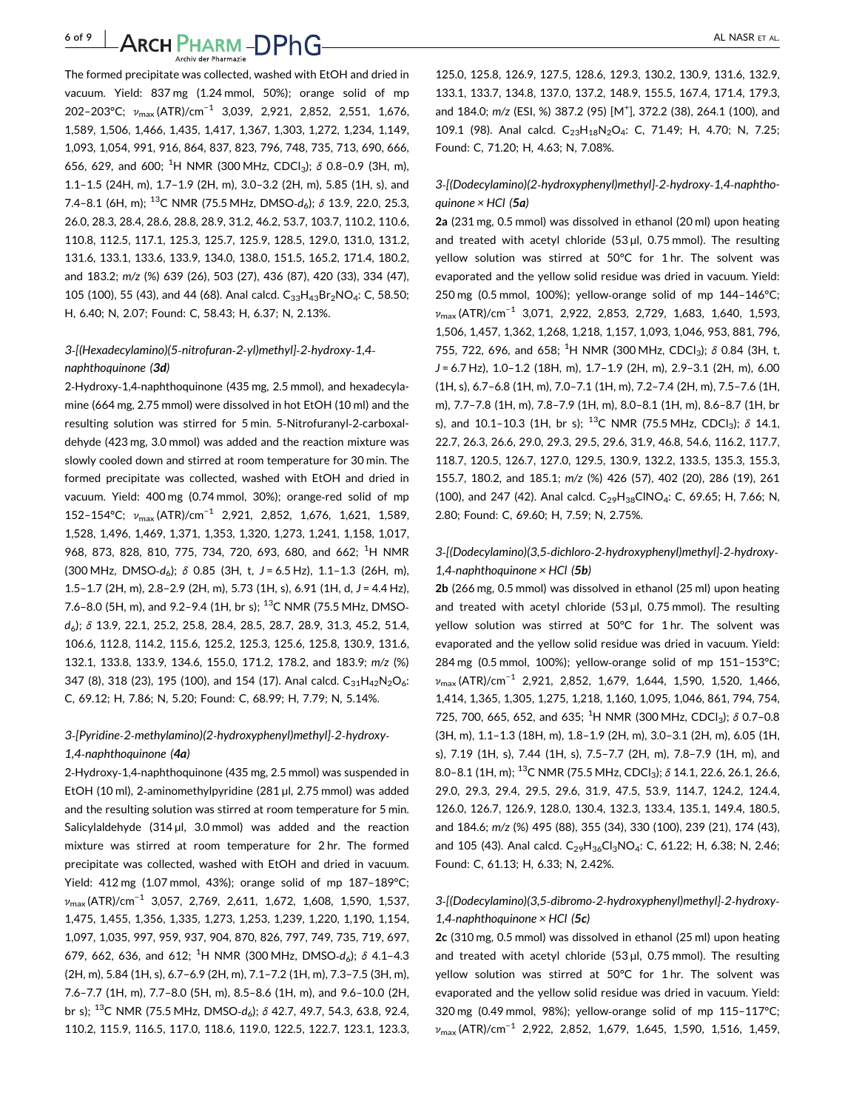6 of 9 | AL NASR ET AL.

The formed precipitate was collected, washed with EtOH and dried in vacuum. Yield: 837 mg (1.24 mmol, 50%); orange solid of mp 202–203°C; v<sub>max</sub> (ATR)/cm<sup>-1</sup> 3,039, 2,921, 2,852, 2,551, 1,676, 1,589, 1,506, 1,466, 1,435, 1,417, 1,367, 1,303, 1,272, 1,234, 1,149, 1,093, 1,054, 991, 916, 864, 837, 823, 796, 748, 735, 713, 690, 666, 656, 629, and 600; <sup>1</sup>H NMR (300 MHz, CDCl<sub>3</sub>);  $\delta$  0.8-0.9 (3H, m), 1.1–1.5 (24H, m), 1.7–1.9 (2H, m), 3.0–3.2 (2H, m), 5.85 (1H, s), and 7.4–8.1 (6H, m); <sup>13</sup>C NMR (75.5 MHz, DMSO- $d_6$ );  $\delta$  13.9, 22.0, 25.3, 26.0, 28.3, 28.4, 28.6, 28.8, 28.9, 31.2, 46.2, 53.7, 103.7, 110.2, 110.6, 110.8, 112.5, 117.1, 125.3, 125.7, 125.9, 128.5, 129.0, 131.0, 131.2, 131.6, 133.1, 133.6, 133.9, 134.0, 138.0, 151.5, 165.2, 171.4, 180.2, and 183.2; m/z (%) 639 (26), 503 (27), 436 (87), 420 (33), 334 (47), 105 (100), 55 (43), and 44 (68). Anal calcd.  $C_{33}H_{43}Br_2NO_4$ : C, 58.50; H, 6.40; N, 2.07; Found: C, 58.43; H, 6.37; N, 2.13%.

## 3‐[(Hexadecylamino)(5‐nitrofuran‐2‐yl)methyl]‐2‐hydroxy‐1,4‐ naphthoquinone (3d)

2‐Hydroxy‐1,4‐naphthoquinone (435 mg, 2.5 mmol), and hexadecylamine (664 mg, 2.75 mmol) were dissolved in hot EtOH (10 ml) and the resulting solution was stirred for 5 min. 5‐Nitrofuranyl‐2‐carboxaldehyde (423 mg, 3.0 mmol) was added and the reaction mixture was slowly cooled down and stirred at room temperature for 30 min. The formed precipitate was collected, washed with EtOH and dried in vacuum. Yield: 400 mg (0.74 mmol, 30%); orange‐red solid of mp 152–154°C; v<sub>max</sub> (ATR)/cm<sup>-1</sup> 2,921, 2,852, 1,676, 1,621, 1,589, 1,528, 1,496, 1,469, 1,371, 1,353, 1,320, 1,273, 1,241, 1,158, 1,017, 968, 873, 828, 810, 775, 734, 720, 693, 680, and 662; <sup>1</sup>H NMR  $(300 \text{ MHz}, \text{ DMSO-}d_6); \delta \text{ 0.85}$  (3H, t, J = 6.5 Hz), 1.1-1.3 (26H, m), 1.5-1.7 (2H, m), 2.8-2.9 (2H, m), 5.73 (1H, s), 6.91 (1H, d, J = 4.4 Hz), 7.6–8.0 (5H, m), and 9.2–9.4 (1H, br s); <sup>13</sup>C NMR (75.5 MHz, DMSOd6); δ 13.9, 22.1, 25.2, 25.8, 28.4, 28.5, 28.7, 28.9, 31.3, 45.2, 51.4, 106.6, 112.8, 114.2, 115.6, 125.2, 125.3, 125.6, 125.8, 130.9, 131.6, 132.1, 133.8, 133.9, 134.6, 155.0, 171.2, 178.2, and 183.9; m/z (%) 347 (8), 318 (23), 195 (100), and 154 (17). Anal calcd.  $C_{31}H_{42}N_2O_6$ : C, 69.12; H, 7.86; N, 5.20; Found: C, 68.99; H, 7.79; N, 5.14%.

## 3‐[Pyridine‐2‐methylamino)(2‐hydroxyphenyl)methyl]‐2‐hydroxy‐

#### 1,4‐naphthoquinone (4a)

2‐Hydroxy‐1,4‐naphthoquinone (435 mg, 2.5 mmol) was suspended in EtOH (10 ml), 2‐aminomethylpyridine (281 µl, 2.75 mmol) was added and the resulting solution was stirred at room temperature for 5 min. Salicylaldehyde  $(314 \mu l, 3.0 \text{ mmol})$  was added and the reaction mixture was stirred at room temperature for 2 hr. The formed precipitate was collected, washed with EtOH and dried in vacuum. Yield: 412 mg (1.07 mmol, 43%); orange solid of mp 187–189°C; νmax (ATR)/cm−<sup>1</sup> 3,057, 2,769, 2,611, 1,672, 1,608, 1,590, 1,537, 1,475, 1,455, 1,356, 1,335, 1,273, 1,253, 1,239, 1,220, 1,190, 1,154, 1,097, 1,035, 997, 959, 937, 904, 870, 826, 797, 749, 735, 719, 697, 679, 662, 636, and 612; <sup>1</sup>H NMR (300 MHz, DMSO- $d_6$ );  $\delta$  4.1-4.3 (2H, m), 5.84 (1H, s), 6.7–6.9 (2H, m), 7.1–7.2 (1H, m), 7.3–7.5 (3H, m), 7.6–7.7 (1H, m), 7.7–8.0 (5H, m), 8.5–8.6 (1H, m), and 9.6–10.0 (2H, br s);  $^{13}$ C NMR (75.5 MHz, DMSO- $d_6$ );  $\delta$  42.7, 49.7, 54.3, 63.8, 92.4, 110.2, 115.9, 116.5, 117.0, 118.6, 119.0, 122.5, 122.7, 123.1, 123.3,

125.0, 125.8, 126.9, 127.5, 128.6, 129.3, 130.2, 130.9, 131.6, 132.9, 133.1, 133.7, 134.8, 137.0, 137.2, 148.9, 155.5, 167.4, 171.4, 179.3, and 184.0; m/z (ESI, %) 387.2 (95) [M<sup>+</sup>], 372.2 (38), 264.1 (100), and 109.1 (98). Anal calcd. C<sub>23</sub>H<sub>18</sub>N<sub>2</sub>O<sub>4</sub>: C, 71.49; H, 4.70; N, 7.25; Found: C, 71.20; H, 4.63; N, 7.08%.

### 3‐[(Dodecylamino)(2‐hydroxyphenyl)methyl]‐2‐hydroxy‐1,4‐naphthoquinone  $\times$  HCl (5a)

2a (231 mg, 0.5 mmol) was dissolved in ethanol (20 ml) upon heating and treated with acetyl chloride  $(53 \mu l, 0.75 \text{ mmol})$ . The resulting yellow solution was stirred at 50°C for 1 hr. The solvent was evaporated and the yellow solid residue was dried in vacuum. Yield: 250 mg (0.5 mmol, 100%); yellow‐orange solid of mp 144–146°C; νmax (ATR)/cm−<sup>1</sup> 3,071, 2,922, 2,853, 2,729, 1,683, 1,640, 1,593, 1,506, 1,457, 1,362, 1,268, 1,218, 1,157, 1,093, 1,046, 953, 881, 796, 755, 722, 696, and 658; <sup>1</sup>H NMR (300 MHz, CDCl<sub>3</sub>);  $\delta$  0.84 (3H, t, J = 6.7 Hz), 1.0–1.2 (18H, m), 1.7–1.9 (2H, m), 2.9–3.1 (2H, m), 6.00 (1H, s), 6.7–6.8 (1H, m), 7.0–7.1 (1H, m), 7.2–7.4 (2H, m), 7.5–7.6 (1H, m), 7.7–7.8 (1H, m), 7.8–7.9 (1H, m), 8.0–8.1 (1H, m), 8.6–8.7 (1H, br s), and 10.1-10.3 (1H, br s); <sup>13</sup>C NMR (75.5 MHz, CDCl<sub>3</sub>);  $\delta$  14.1, 22.7, 26.3, 26.6, 29.0, 29.3, 29.5, 29.6, 31.9, 46.8, 54.6, 116.2, 117.7, 118.7, 120.5, 126.7, 127.0, 129.5, 130.9, 132.2, 133.5, 135.3, 155.3, 155.7, 180.2, and 185.1; m/z (%) 426 (57), 402 (20), 286 (19), 261 (100), and 247 (42). Anal calcd.  $C_{29}H_{38}CINO_4$ : C, 69.65; H, 7.66; N, 2.80; Found: C, 69.60; H, 7.59; N, 2.75%.

### 3‐[(Dodecylamino)(3,5‐dichloro‐2‐hydroxyphenyl)methyl]‐2‐hydroxy‐ 1,4-naphthoquinone  $\times$  HCl (5b)

2b (266 mg, 0.5 mmol) was dissolved in ethanol (25 ml) upon heating and treated with acetyl chloride  $(53 \mu l, 0.75 \text{ mmol})$ . The resulting yellow solution was stirred at 50°C for 1 hr. The solvent was evaporated and the yellow solid residue was dried in vacuum. Yield: 284 mg (0.5 mmol, 100%); yellow‐orange solid of mp 151–153°C; νmax (ATR)/cm−<sup>1</sup> 2,921, 2,852, 1,679, 1,644, 1,590, 1,520, 1,466, 1,414, 1,365, 1,305, 1,275, 1,218, 1,160, 1,095, 1,046, 861, 794, 754, 725, 700, 665, 652, and 635; <sup>1</sup>H NMR (300 MHz, CDCl<sub>3</sub>);  $\delta$  0.7-0.8 (3H, m), 1.1–1.3 (18H, m), 1.8–1.9 (2H, m), 3.0–3.1 (2H, m), 6.05 (1H, s), 7.19 (1H, s), 7.44 (1H, s), 7.5–7.7 (2H, m), 7.8–7.9 (1H, m), and 8.0–8.1 (1H, m); <sup>13</sup>C NMR (75.5 MHz, CDCl<sub>3</sub>);  $\delta$  14.1, 22.6, 26.1, 26.6, 29.0, 29.3, 29.4, 29.5, 29.6, 31.9, 47.5, 53.9, 114.7, 124.2, 124.4, 126.0, 126.7, 126.9, 128.0, 130.4, 132.3, 133.4, 135.1, 149.4, 180.5, and 184.6; m/z (%) 495 (88), 355 (34), 330 (100), 239 (21), 174 (43), and 105 (43). Anal calcd.  $C_{29}H_{36}Cl_3NO_4$ : C, 61.22; H, 6.38; N, 2.46; Found: C, 61.13; H, 6.33; N, 2.42%.

#### 3‐[(Dodecylamino)(3,5‐dibromo‐2‐hydroxyphenyl)methyl]‐2‐hydroxy‐ 1,4-naphthoquinone  $\times$  HCl (5c)

2c (310 mg, 0.5 mmol) was dissolved in ethanol (25 ml) upon heating and treated with acetyl chloride  $(53 \mu l, 0.75 \text{ mmol})$ . The resulting yellow solution was stirred at 50°C for 1 hr. The solvent was evaporated and the yellow solid residue was dried in vacuum. Yield: 320 mg (0.49 mmol, 98%); yellow‐orange solid of mp 115–117°C; νmax (ATR)/cm−<sup>1</sup> 2,922, 2,852, 1,679, 1,645, 1,590, 1,516, 1,459,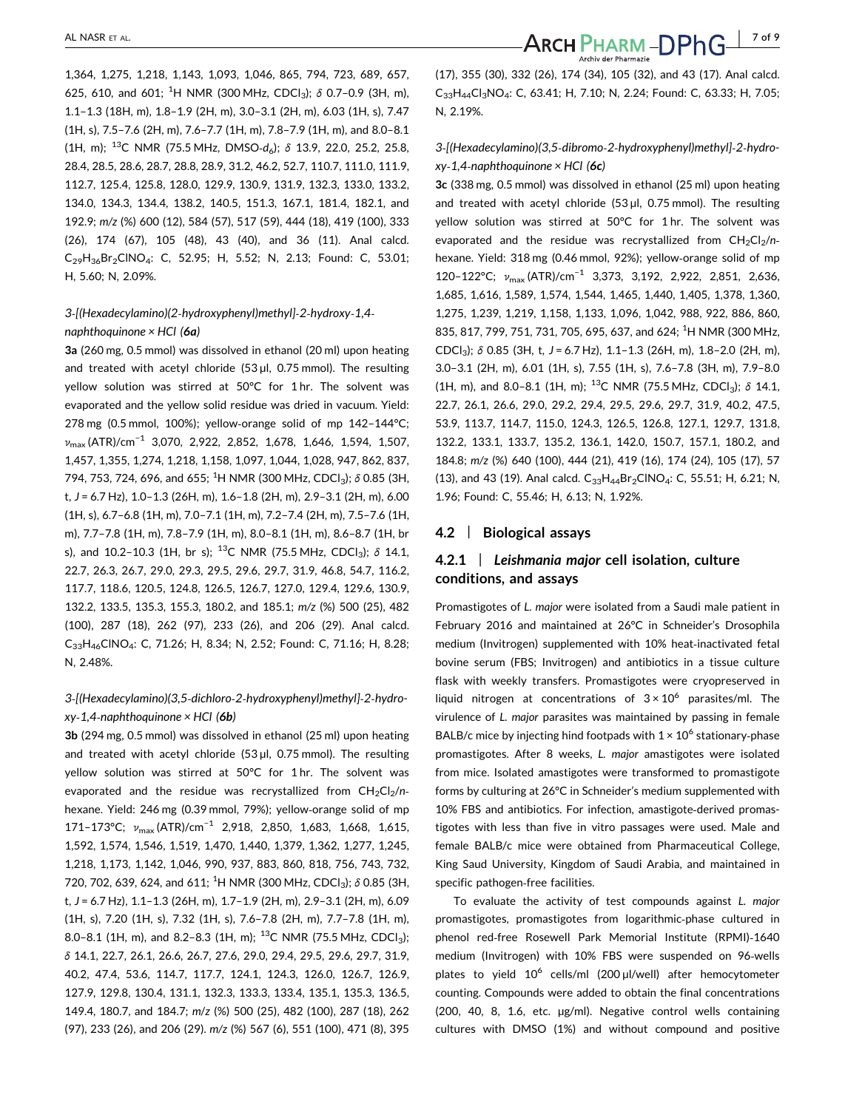1,364, 1,275, 1,218, 1,143, 1,093, 1,046, 865, 794, 723, 689, 657, 625, 610, and 601; <sup>1</sup>H NMR (300 MHz, CDCl<sub>3</sub>);  $\delta$  0.7-0.9 (3H, m), 1.1–1.3 (18H, m), 1.8–1.9 (2H, m), 3.0–3.1 (2H, m), 6.03 (1H, s), 7.47 (1H, s), 7.5–7.6 (2H, m), 7.6–7.7 (1H, m), 7.8–7.9 (1H, m), and 8.0–8.1 (1H, m); <sup>13</sup>C NMR (75.5 MHz, DMSO-d<sub>6</sub>);  $\delta$  13.9, 22.0, 25.2, 25.8, 28.4, 28.5, 28.6, 28.7, 28.8, 28.9, 31.2, 46.2, 52.7, 110.7, 111.0, 111.9, 112.7, 125.4, 125.8, 128.0, 129.9, 130.9, 131.9, 132.3, 133.0, 133.2, 134.0, 134.3, 134.4, 138.2, 140.5, 151.3, 167.1, 181.4, 182.1, and 192.9; m/z (%) 600 (12), 584 (57), 517 (59), 444 (18), 419 (100), 333 (26), 174 (67), 105 (48), 43 (40), and 36 (11). Anal calcd. C29H36Br2ClNO4: C, 52.95; H, 5.52; N, 2.13; Found: C, 53.01; H, 5.60; N, 2.09%.

#### 3‐[(Hexadecylamino)(2‐hydroxyphenyl)methyl]‐2‐hydroxy‐1,4‐ naphthoquinone  $\times$  HCl (6a)

3a (260 mg, 0.5 mmol) was dissolved in ethanol (20 ml) upon heating and treated with acetyl chloride (53  $\mu$ l, 0.75 mmol). The resulting yellow solution was stirred at 50°C for 1 hr. The solvent was evaporated and the yellow solid residue was dried in vacuum. Yield: 278 mg (0.5 mmol, 100%); yellow‐orange solid of mp 142–144°C;  $v_{\text{max}}$  (ATR)/cm<sup>-1</sup> 3,070, 2,922, 2,852, 1,678, 1,646, 1,594, 1,507, 1,457, 1,355, 1,274, 1,218, 1,158, 1,097, 1,044, 1,028, 947, 862, 837, 794, 753, 724, 696, and 655; <sup>1</sup>H NMR (300 MHz, CDCl<sub>3</sub>);  $\delta$  0.85 (3H, t, J = 6.7 Hz), 1.0–1.3 (26H, m), 1.6–1.8 (2H, m), 2.9–3.1 (2H, m), 6.00 (1H, s), 6.7–6.8 (1H, m), 7.0–7.1 (1H, m), 7.2–7.4 (2H, m), 7.5–7.6 (1H, m), 7.7–7.8 (1H, m), 7.8–7.9 (1H, m), 8.0–8.1 (1H, m), 8.6–8.7 (1H, br s), and 10.2-10.3 (1H, br s); <sup>13</sup>C NMR (75.5 MHz, CDCl<sub>3</sub>);  $\delta$  14.1, 22.7, 26.3, 26.7, 29.0, 29.3, 29.5, 29.6, 29.7, 31.9, 46.8, 54.7, 116.2, 117.7, 118.6, 120.5, 124.8, 126.5, 126.7, 127.0, 129.4, 129.6, 130.9, 132.2, 133.5, 135.3, 155.3, 180.2, and 185.1; m/z (%) 500 (25), 482 (100), 287 (18), 262 (97), 233 (26), and 206 (29). Anal calcd. C33H46ClNO4: C, 71.26; H, 8.34; N, 2.52; Found: C, 71.16; H, 8.28; N, 2.48%.

### 3‐[(Hexadecylamino)(3,5‐dichloro‐2‐hydroxyphenyl)methyl]‐2‐hydro $xy-1,4$ -naphthoquinone  $\times$  HCl (6b)

3b (294 mg, 0.5 mmol) was dissolved in ethanol (25 ml) upon heating and treated with acetyl chloride (53 µl, 0.75 mmol). The resulting yellow solution was stirred at 50°C for 1 hr. The solvent was evaporated and the residue was recrystallized from  $CH_2Cl_2/n$ hexane. Yield: 246 mg (0.39 mmol, 79%); yellow‐orange solid of mp 171–173°C; v<sub>max</sub> (ATR)/cm<sup>-1</sup> 2,918, 2,850, 1,683, 1,668, 1,615, 1,592, 1,574, 1,546, 1,519, 1,470, 1,440, 1,379, 1,362, 1,277, 1,245, 1,218, 1,173, 1,142, 1,046, 990, 937, 883, 860, 818, 756, 743, 732, 720, 702, 639, 624, and 611; <sup>1</sup>H NMR (300 MHz, CDCl<sub>3</sub>); δ 0.85 (3H, t, J = 6.7 Hz), 1.1–1.3 (26H, m), 1.7–1.9 (2H, m), 2.9–3.1 (2H, m), 6.09 (1H, s), 7.20 (1H, s), 7.32 (1H, s), 7.6–7.8 (2H, m), 7.7–7.8 (1H, m), 8.0-8.1 (1H, m), and 8.2-8.3 (1H, m); <sup>13</sup>C NMR (75.5 MHz, CDCl<sub>3</sub>); δ 14.1, 22.7, 26.1, 26.6, 26.7, 27.6, 29.0, 29.4, 29.5, 29.6, 29.7, 31.9, 40.2, 47.4, 53.6, 114.7, 117.7, 124.1, 124.3, 126.0, 126.7, 126.9, 127.9, 129.8, 130.4, 131.1, 132.3, 133.3, 133.4, 135.1, 135.3, 136.5, 149.4, 180.7, and 184.7; m/z (%) 500 (25), 482 (100), 287 (18), 262 (97), 233 (26), and 206 (29). m/z (%) 567 (6), 551 (100), 471 (8), 395

(17), 355 (30), 332 (26), 174 (34), 105 (32), and 43 (17). Anal calcd. C33H44Cl3NO4: C, 63.41; H, 7.10; N, 2.24; Found: C, 63.33; H, 7.05; N, 2.19%.

## 3‐[(Hexadecylamino)(3,5‐dibromo‐2‐hydroxyphenyl)methyl]‐2‐hydro $xy-1,4$ -naphthoquinone  $\times$  HCl (6c)

3c (338 mg, 0.5 mmol) was dissolved in ethanol (25 ml) upon heating and treated with acetyl chloride  $(53 \mu l, 0.75 \text{ mmol})$ . The resulting yellow solution was stirred at 50°C for 1 hr. The solvent was evaporated and the residue was recrystallized from  $CH_2Cl_2/n$ hexane. Yield: 318 mg (0.46 mmol, 92%); yellow‐orange solid of mp 120–122°C; v<sub>max</sub> (ATR)/cm<sup>-1</sup> 3,373, 3,192, 2,922, 2,851, 2,636, 1,685, 1,616, 1,589, 1,574, 1,544, 1,465, 1,440, 1,405, 1,378, 1,360, 1,275, 1,239, 1,219, 1,158, 1,133, 1,096, 1,042, 988, 922, 886, 860, 835, 817, 799, 751, 731, 705, 695, 637, and 624; <sup>1</sup>H NMR (300 MHz, CDCl<sub>3</sub>);  $\delta$  0.85 (3H, t, J = 6.7 Hz), 1.1-1.3 (26H, m), 1.8-2.0 (2H, m), 3.0–3.1 (2H, m), 6.01 (1H, s), 7.55 (1H, s), 7.6–7.8 (3H, m), 7.9–8.0 (1H, m), and 8.0–8.1 (1H, m); <sup>13</sup>C NMR (75.5 MHz, CDCl<sub>3</sub>);  $\delta$  14.1, 22.7, 26.1, 26.6, 29.0, 29.2, 29.4, 29.5, 29.6, 29.7, 31.9, 40.2, 47.5, 53.9, 113.7, 114.7, 115.0, 124.3, 126.5, 126.8, 127.1, 129.7, 131.8, 132.2, 133.1, 133.7, 135.2, 136.1, 142.0, 150.7, 157.1, 180.2, and 184.8; m/z (%) 640 (100), 444 (21), 419 (16), 174 (24), 105 (17), 57 (13), and 43 (19). Anal calcd.  $C_{33}H_{44}Br_2CINO_4$ : C, 55.51; H, 6.21; N, 1.96; Found: C, 55.46; H, 6.13; N, 1.92%.

#### 4.2 | Biological assays

## 4.2.1 | Leishmania major cell isolation, culture conditions, and assays

Promastigotes of L. major were isolated from a Saudi male patient in February 2016 and maintained at 26°C in Schneider's Drosophila medium (Invitrogen) supplemented with 10% heat-inactivated fetal bovine serum (FBS; Invitrogen) and antibiotics in a tissue culture flask with weekly transfers. Promastigotes were cryopreserved in liquid nitrogen at concentrations of  $3 \times 10^6$  parasites/ml. The virulence of L. major parasites was maintained by passing in female BALB/c mice by injecting hind footpads with  $1 \times 10^6$  stationary-phase promastigotes. After 8 weeks, L. major amastigotes were isolated from mice. Isolated amastigotes were transformed to promastigote forms by culturing at 26°C in Schneider's medium supplemented with 10% FBS and antibiotics. For infection, amastigote‐derived promastigotes with less than five in vitro passages were used. Male and female BALB/c mice were obtained from Pharmaceutical College, King Saud University, Kingdom of Saudi Arabia, and maintained in specific pathogen‐free facilities.

To evaluate the activity of test compounds against L. major promastigotes, promastigotes from logarithmic‐phase cultured in phenol red‐free Rosewell Park Memorial Institute (RPMI)‐1640 medium (Invitrogen) with 10% FBS were suspended on 96‐wells plates to yield 10<sup>6</sup> cells/ml (200 µl/well) after hemocytometer counting. Compounds were added to obtain the final concentrations (200, 40, 8, 1.6, etc. µg/ml). Negative control wells containing cultures with DMSO (1%) and without compound and positive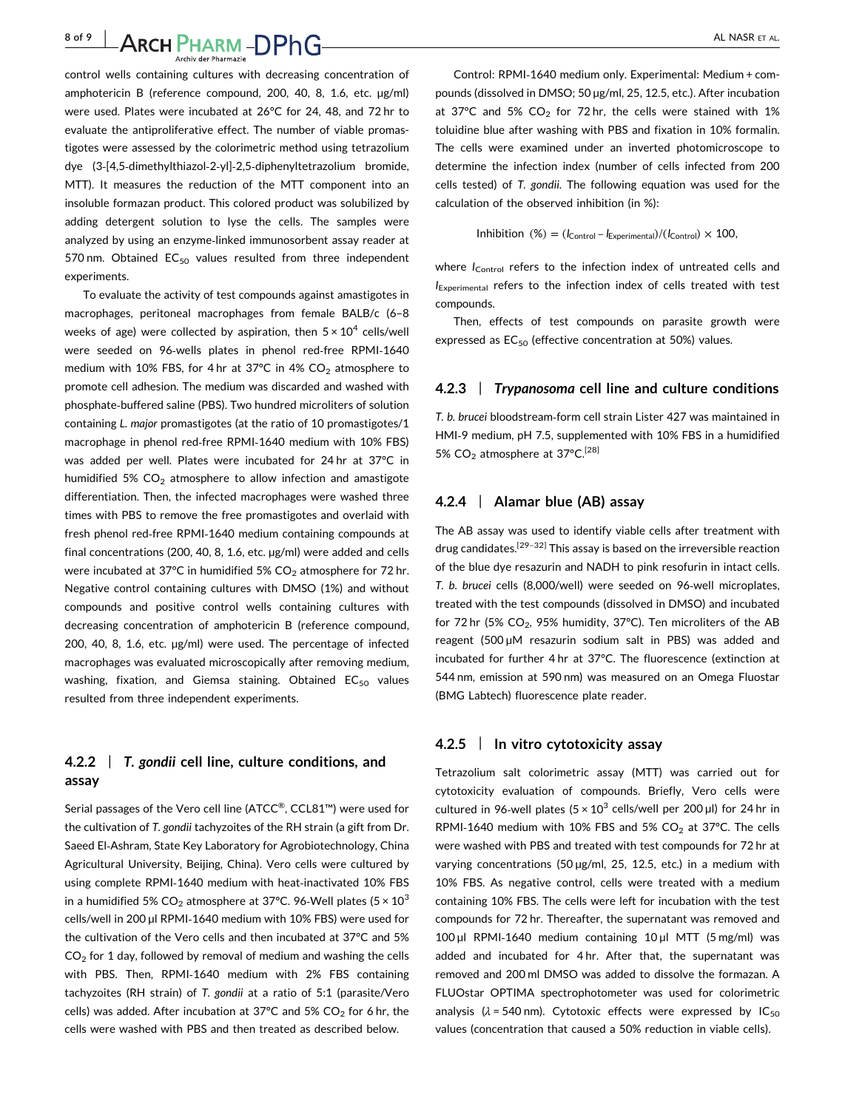8 of 9 | ARCH PHARM - DPhG | ALL NASR ET AL.

control wells containing cultures with decreasing concentration of amphotericin B (reference compound, 200, 40, 8, 1.6, etc. µg/ml) were used. Plates were incubated at 26°C for 24, 48, and 72 hr to evaluate the antiproliferative effect. The number of viable promastigotes were assessed by the colorimetric method using tetrazolium dye (3‐[4,5‐dimethylthiazol‐2‐yl]‐2,5‐diphenyltetrazolium bromide, MTT). It measures the reduction of the MTT component into an insoluble formazan product. This colored product was solubilized by adding detergent solution to lyse the cells. The samples were analyzed by using an enzyme‐linked immunosorbent assay reader at 570 nm. Obtained  $EC_{50}$  values resulted from three independent experiments.

To evaluate the activity of test compounds against amastigotes in macrophages, peritoneal macrophages from female BALB/c (6–8 weeks of age) were collected by aspiration, then  $5 \times 10^4$  cells/well were seeded on 96‐wells plates in phenol red‐free RPMI‐1640 medium with 10% FBS, for 4 hr at 37°C in 4%  $CO<sub>2</sub>$  atmosphere to promote cell adhesion. The medium was discarded and washed with phosphate‐buffered saline (PBS). Two hundred microliters of solution containing L. major promastigotes (at the ratio of 10 promastigotes/1 macrophage in phenol red‐free RPMI‐1640 medium with 10% FBS) was added per well. Plates were incubated for 24 hr at 37°C in humidified 5%  $CO<sub>2</sub>$  atmosphere to allow infection and amastigote differentiation. Then, the infected macrophages were washed three times with PBS to remove the free promastigotes and overlaid with fresh phenol red‐free RPMI‐1640 medium containing compounds at final concentrations (200, 40, 8, 1.6, etc. µg/ml) were added and cells were incubated at 37°C in humidified 5%  $CO<sub>2</sub>$  atmosphere for 72 hr. Negative control containing cultures with DMSO (1%) and without compounds and positive control wells containing cultures with decreasing concentration of amphotericin B (reference compound, 200, 40, 8, 1.6, etc. µg/ml) were used. The percentage of infected macrophages was evaluated microscopically after removing medium, washing, fixation, and Giemsa staining. Obtained  $EC_{50}$  values resulted from three independent experiments.

## 4.2.2 | T. gondii cell line, culture conditions, and assay

Serial passages of the Vero cell line (ATCC®, CCL81™) were used for the cultivation of T. gondii tachyzoites of the RH strain (a gift from Dr. Saeed El‐Ashram, State Key Laboratory for Agrobiotechnology, China Agricultural University, Beijing, China). Vero cells were cultured by using complete RPMI‐1640 medium with heat‐inactivated 10% FBS in a humidified 5%  $CO_2$  atmosphere at 37°C. 96-Well plates (5 × 10<sup>3</sup>) cells/well in 200 µl RPMI-1640 medium with 10% FBS) were used for the cultivation of the Vero cells and then incubated at 37°C and 5%  $CO<sub>2</sub>$  for 1 day, followed by removal of medium and washing the cells with PBS. Then, RPMI‐1640 medium with 2% FBS containing tachyzoites (RH strain) of T. gondii at a ratio of 5:1 (parasite/Vero cells) was added. After incubation at 37°C and 5%  $CO<sub>2</sub>$  for 6 hr, the cells were washed with PBS and then treated as described below.

Control: RPMI‐1640 medium only. Experimental: Medium + compounds (dissolved in DMSO; 50 µg/ml, 25, 12.5, etc.). After incubation at 37°C and 5%  $CO<sub>2</sub>$  for 72 hr, the cells were stained with 1% toluidine blue after washing with PBS and fixation in 10% formalin. The cells were examined under an inverted photomicroscope to determine the infection index (number of cells infected from 200 cells tested) of T. gondii. The following equation was used for the calculation of the observed inhibition (in %):

Inhibition (%) = 
$$
(I_{\text{Control}} - I_{\text{Experimental}})/(I_{\text{Control}}) \times 100
$$
,

where  $I_{\text{Control}}$  refers to the infection index of untreated cells and  $I_{\text{Experimental}}$  refers to the infection index of cells treated with test compounds.

Then, effects of test compounds on parasite growth were expressed as  $EC_{50}$  (effective concentration at 50%) values.

#### 4.2.3 | Trypanosoma cell line and culture conditions

T. b. brucei bloodstream‐form cell strain Lister 427 was maintained in HMI‐9 medium, pH 7.5, supplemented with 10% FBS in a humidified 5%  $CO<sub>2</sub>$  atmosphere at 37°C.<sup>[28]</sup>

#### 4.2.4 | Alamar blue (AB) assay

The AB assay was used to identify viable cells after treatment with drug candidates.[29–32] This assay is based on the irreversible reaction of the blue dye resazurin and NADH to pink resofurin in intact cells. T. b. brucei cells (8,000/well) were seeded on 96‐well microplates, treated with the test compounds (dissolved in DMSO) and incubated for 72 hr (5%  $CO<sub>2</sub>$ , 95% humidity, 37°C). Ten microliters of the AB reagent (500 µM resazurin sodium salt in PBS) was added and incubated for further 4 hr at 37°C. The fluorescence (extinction at 544 nm, emission at 590 nm) was measured on an Omega Fluostar (BMG Labtech) fluorescence plate reader.

#### 4.2.5 | In vitro cytotoxicity assay

Tetrazolium salt colorimetric assay (MTT) was carried out for cytotoxicity evaluation of compounds. Briefly, Vero cells were cultured in 96-well plates ( $5 \times 10^3$  cells/well per 200 µl) for 24 hr in RPMI-1640 medium with 10% FBS and 5%  $CO<sub>2</sub>$  at 37°C. The cells were washed with PBS and treated with test compounds for 72 hr at varying concentrations (50 µg/ml, 25, 12.5, etc.) in a medium with 10% FBS. As negative control, cells were treated with a medium containing 10% FBS. The cells were left for incubation with the test compounds for 72 hr. Thereafter, the supernatant was removed and 100 µl RPMI‐1640 medium containing 10 µl MTT (5 mg/ml) was added and incubated for 4 hr. After that, the supernatant was removed and 200 ml DMSO was added to dissolve the formazan. A FLUOstar OPTIMA spectrophotometer was used for colorimetric analysis ( $\lambda$  = 540 nm). Cytotoxic effects were expressed by IC<sub>50</sub> values (concentration that caused a 50% reduction in viable cells).